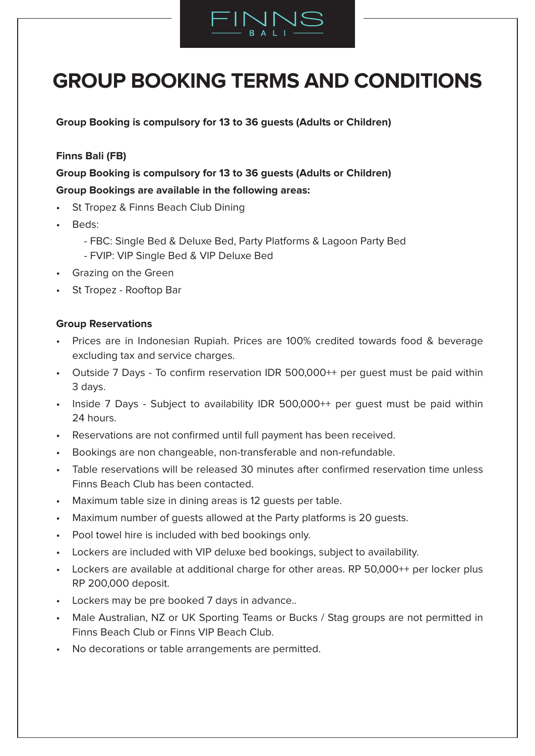

# **GROUP BOOKING TERMS AND CONDITIONS**

**Group Booking is compulsory for 13 to 36 guests (Adults or Children)**

# **Finns Bali (FB)**

**Group Booking is compulsory for 13 to 36 guests (Adults or Children) Group Bookings are available in the following areas:** 

- St Tropez & Finns Beach Club Dining
- Beds:
	- FBC: Single Bed & Deluxe Bed, Party Platforms & Lagoon Party Bed
	- FVIP: VIP Single Bed & VIP Deluxe Bed
- Grazing on the Green
- St Tropez Rooftop Bar

# **Group Reservations**

- Prices are in Indonesian Rupiah. Prices are 100% credited towards food & beverage excluding tax and service charges.
- Outside 7 Days To confirm reservation IDR 500,000++ per guest must be paid within 3 days.
- Inside 7 Days Subject to availability IDR 500,000++ per quest must be paid within 24 hours.
- Reservations are not confirmed until full payment has been received.
- Bookings are non changeable, non-transferable and non-refundable.
- Table reservations will be released 30 minutes after confirmed reservation time unless Finns Beach Club has been contacted.
- Maximum table size in dining areas is 12 guests per table.
- Maximum number of guests allowed at the Party platforms is 20 guests.
- Pool towel hire is included with bed bookings only.
- Lockers are included with VIP deluxe bed bookings, subject to availability.
- Lockers are available at additional charge for other areas. RP 50,000++ per locker plus RP 200,000 deposit.
- Lockers may be pre booked 7 days in advance..
- Male Australian, NZ or UK Sporting Teams or Bucks / Stag groups are not permitted in Finns Beach Club or Finns VIP Beach Club.
- No decorations or table arrangements are permitted.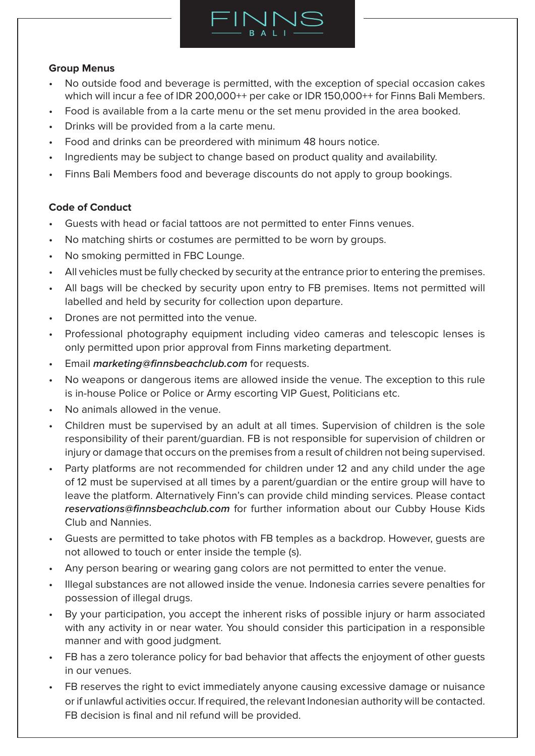

# **Group Menus**

- No outside food and beverage is permitted, with the exception of special occasion cakes which will incur a fee of IDR 200,000++ per cake or IDR 150,000++ for Finns Bali Members.
- Food is available from a la carte menu or the set menu provided in the area booked.
- Drinks will be provided from a la carte menu.
- Food and drinks can be preordered with minimum 48 hours notice.
- Ingredients may be subject to change based on product quality and availability.
- Finns Bali Members food and beverage discounts do not apply to group bookings.

## **Code of Conduct**

- Guests with head or facial tattoos are not permitted to enter Finns venues.
- No matching shirts or costumes are permitted to be worn by groups.
- No smoking permitted in FBC Lounge.
- All vehicles must be fully checked by security at the entrance prior to entering the premises.
- All bags will be checked by security upon entry to FB premises. Items not permitted will labelled and held by security for collection upon departure.
- Drones are not permitted into the venue.
- Professional photography equipment including video cameras and telescopic lenses is only permitted upon prior approval from Finns marketing department.
- Email **marketing@finnsbeachclub.com** for requests.
- No weapons or dangerous items are allowed inside the venue. The exception to this rule is in-house Police or Police or Army escorting VIP Guest, Politicians etc.
- No animals allowed in the venue.
- Children must be supervised by an adult at all times. Supervision of children is the sole responsibility of their parent/guardian. FB is not responsible for supervision of children or injury or damage that occurs on the premises from a result of children not being supervised.
- Party platforms are not recommended for children under 12 and any child under the age of 12 must be supervised at all times by a parent/guardian or the entire group will have to leave the platform. Alternatively Finn's can provide child minding services. Please contact **reservations@finnsbeachclub.com** for further information about our Cubby House Kids Club and Nannies.
- Guests are permitted to take photos with FB temples as a backdrop. However, guests are not allowed to touch or enter inside the temple (s).
- Any person bearing or wearing gang colors are not permitted to enter the venue.
- Illegal substances are not allowed inside the venue. Indonesia carries severe penalties for possession of illegal drugs.
- By your participation, you accept the inherent risks of possible injury or harm associated with any activity in or near water. You should consider this participation in a responsible manner and with good judgment.
- FB has a zero tolerance policy for bad behavior that affects the enjoyment of other quests in our venues.
- FB reserves the right to evict immediately anyone causing excessive damage or nuisance or if unlawful activities occur. If required, the relevant Indonesian authority will be contacted. FB decision is final and nil refund will be provided.